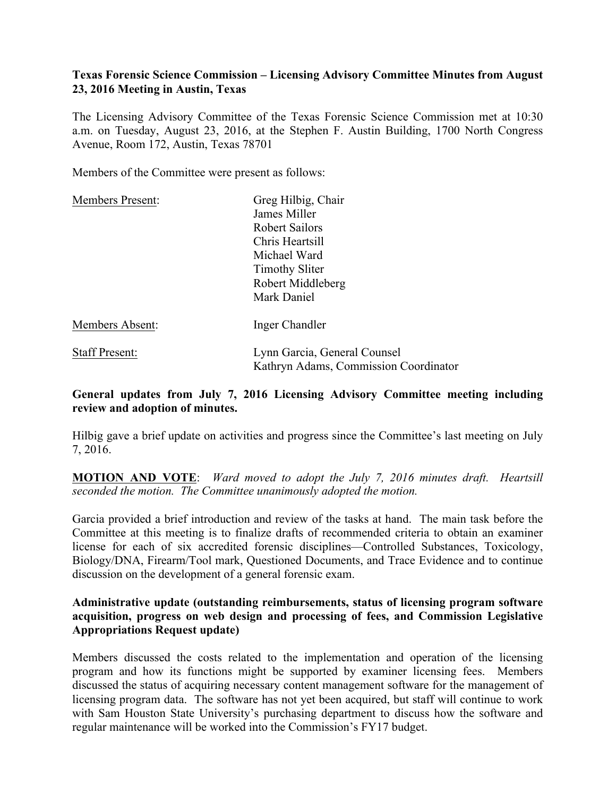## **Texas Forensic Science Commission – Licensing Advisory Committee Minutes from August 23, 2016 Meeting in Austin, Texas**

The Licensing Advisory Committee of the Texas Forensic Science Commission met at 10:30 a.m. on Tuesday, August 23, 2016, at the Stephen F. Austin Building, 1700 North Congress Avenue, Room 172, Austin, Texas 78701

Members of the Committee were present as follows:

| <b>Members Present:</b> | Greg Hilbig, Chair                                                    |
|-------------------------|-----------------------------------------------------------------------|
|                         | James Miller                                                          |
|                         | Robert Sailors                                                        |
|                         | Chris Heartsill                                                       |
|                         | Michael Ward                                                          |
|                         | <b>Timothy Sliter</b>                                                 |
|                         | Robert Middleberg                                                     |
|                         | Mark Daniel                                                           |
| Members Absent:         | Inger Chandler                                                        |
| <b>Staff Present:</b>   | Lynn Garcia, General Counsel<br>Kathryn Adams, Commission Coordinator |

### **General updates from July 7, 2016 Licensing Advisory Committee meeting including review and adoption of minutes.**

Hilbig gave a brief update on activities and progress since the Committee's last meeting on July 7, 2016.

**MOTION AND VOTE**: *Ward moved to adopt the July 7, 2016 minutes draft. Heartsill seconded the motion. The Committee unanimously adopted the motion.*

Garcia provided a brief introduction and review of the tasks at hand. The main task before the Committee at this meeting is to finalize drafts of recommended criteria to obtain an examiner license for each of six accredited forensic disciplines—Controlled Substances, Toxicology, Biology/DNA, Firearm/Tool mark, Questioned Documents, and Trace Evidence and to continue discussion on the development of a general forensic exam.

## **Administrative update (outstanding reimbursements, status of licensing program software acquisition, progress on web design and processing of fees, and Commission Legislative Appropriations Request update)**

Members discussed the costs related to the implementation and operation of the licensing program and how its functions might be supported by examiner licensing fees. Members discussed the status of acquiring necessary content management software for the management of licensing program data. The software has not yet been acquired, but staff will continue to work with Sam Houston State University's purchasing department to discuss how the software and regular maintenance will be worked into the Commission's FY17 budget.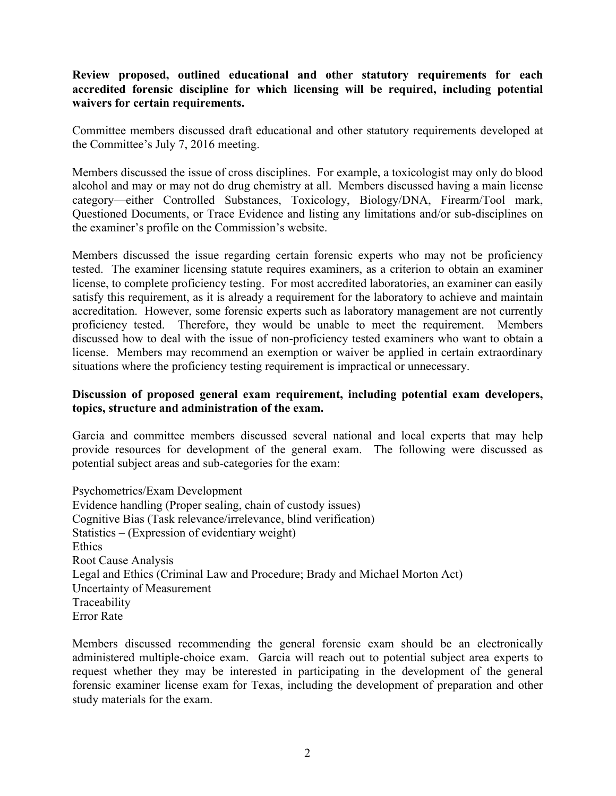## **Review proposed, outlined educational and other statutory requirements for each accredited forensic discipline for which licensing will be required, including potential waivers for certain requirements.**

Committee members discussed draft educational and other statutory requirements developed at the Committee's July 7, 2016 meeting.

Members discussed the issue of cross disciplines. For example, a toxicologist may only do blood alcohol and may or may not do drug chemistry at all. Members discussed having a main license category—either Controlled Substances, Toxicology, Biology/DNA, Firearm/Tool mark, Questioned Documents, or Trace Evidence and listing any limitations and/or sub-disciplines on the examiner's profile on the Commission's website.

Members discussed the issue regarding certain forensic experts who may not be proficiency tested. The examiner licensing statute requires examiners, as a criterion to obtain an examiner license, to complete proficiency testing. For most accredited laboratories, an examiner can easily satisfy this requirement, as it is already a requirement for the laboratory to achieve and maintain accreditation. However, some forensic experts such as laboratory management are not currently proficiency tested. Therefore, they would be unable to meet the requirement. Members discussed how to deal with the issue of non-proficiency tested examiners who want to obtain a license. Members may recommend an exemption or waiver be applied in certain extraordinary situations where the proficiency testing requirement is impractical or unnecessary.

### **Discussion of proposed general exam requirement, including potential exam developers, topics, structure and administration of the exam.**

Garcia and committee members discussed several national and local experts that may help provide resources for development of the general exam. The following were discussed as potential subject areas and sub-categories for the exam:

Psychometrics/Exam Development Evidence handling (Proper sealing, chain of custody issues) Cognitive Bias (Task relevance/irrelevance, blind verification) Statistics – (Expression of evidentiary weight) **Ethics** Root Cause Analysis Legal and Ethics (Criminal Law and Procedure; Brady and Michael Morton Act) Uncertainty of Measurement Traceability Error Rate

Members discussed recommending the general forensic exam should be an electronically administered multiple-choice exam. Garcia will reach out to potential subject area experts to request whether they may be interested in participating in the development of the general forensic examiner license exam for Texas, including the development of preparation and other study materials for the exam.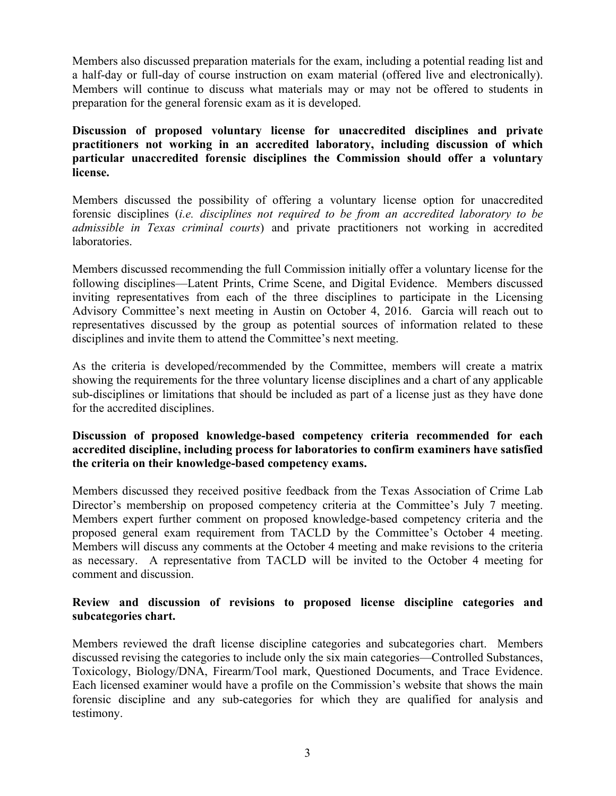Members also discussed preparation materials for the exam, including a potential reading list and a half-day or full-day of course instruction on exam material (offered live and electronically). Members will continue to discuss what materials may or may not be offered to students in preparation for the general forensic exam as it is developed.

**Discussion of proposed voluntary license for unaccredited disciplines and private practitioners not working in an accredited laboratory, including discussion of which particular unaccredited forensic disciplines the Commission should offer a voluntary license.**

Members discussed the possibility of offering a voluntary license option for unaccredited forensic disciplines (*i.e. disciplines not required to be from an accredited laboratory to be admissible in Texas criminal courts*) and private practitioners not working in accredited laboratories.

Members discussed recommending the full Commission initially offer a voluntary license for the following disciplines—Latent Prints, Crime Scene, and Digital Evidence. Members discussed inviting representatives from each of the three disciplines to participate in the Licensing Advisory Committee's next meeting in Austin on October 4, 2016. Garcia will reach out to representatives discussed by the group as potential sources of information related to these disciplines and invite them to attend the Committee's next meeting.

As the criteria is developed/recommended by the Committee, members will create a matrix showing the requirements for the three voluntary license disciplines and a chart of any applicable sub-disciplines or limitations that should be included as part of a license just as they have done for the accredited disciplines.

## **Discussion of proposed knowledge-based competency criteria recommended for each accredited discipline, including process for laboratories to confirm examiners have satisfied the criteria on their knowledge-based competency exams.**

Members discussed they received positive feedback from the Texas Association of Crime Lab Director's membership on proposed competency criteria at the Committee's July 7 meeting. Members expert further comment on proposed knowledge-based competency criteria and the proposed general exam requirement from TACLD by the Committee's October 4 meeting. Members will discuss any comments at the October 4 meeting and make revisions to the criteria as necessary. A representative from TACLD will be invited to the October 4 meeting for comment and discussion.

# **Review and discussion of revisions to proposed license discipline categories and subcategories chart.**

Members reviewed the draft license discipline categories and subcategories chart. Members discussed revising the categories to include only the six main categories—Controlled Substances, Toxicology, Biology/DNA, Firearm/Tool mark, Questioned Documents, and Trace Evidence. Each licensed examiner would have a profile on the Commission's website that shows the main forensic discipline and any sub-categories for which they are qualified for analysis and testimony.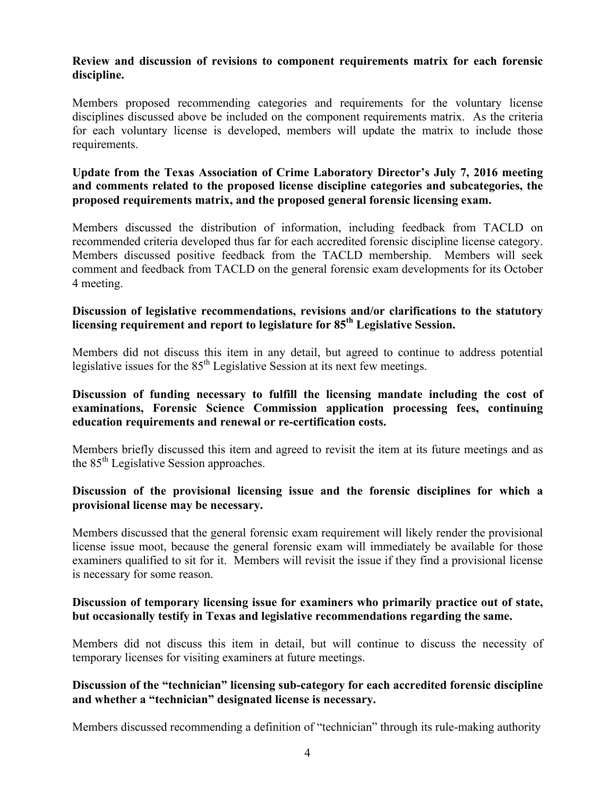### **Review and discussion of revisions to component requirements matrix for each forensic discipline.**

Members proposed recommending categories and requirements for the voluntary license disciplines discussed above be included on the component requirements matrix. As the criteria for each voluntary license is developed, members will update the matrix to include those requirements.

## **Update from the Texas Association of Crime Laboratory Director's July 7, 2016 meeting and comments related to the proposed license discipline categories and subcategories, the proposed requirements matrix, and the proposed general forensic licensing exam.**

Members discussed the distribution of information, including feedback from TACLD on recommended criteria developed thus far for each accredited forensic discipline license category. Members discussed positive feedback from the TACLD membership. Members will seek comment and feedback from TACLD on the general forensic exam developments for its October 4 meeting.

## **Discussion of legislative recommendations, revisions and/or clarifications to the statutory licensing requirement and report to legislature for 85th Legislative Session.**

Members did not discuss this item in any detail, but agreed to continue to address potential legislative issues for the  $85<sup>th</sup>$  Legislative Session at its next few meetings.

## **Discussion of funding necessary to fulfill the licensing mandate including the cost of examinations, Forensic Science Commission application processing fees, continuing education requirements and renewal or re-certification costs.**

Members briefly discussed this item and agreed to revisit the item at its future meetings and as the 85<sup>th</sup> Legislative Session approaches.

## **Discussion of the provisional licensing issue and the forensic disciplines for which a provisional license may be necessary.**

Members discussed that the general forensic exam requirement will likely render the provisional license issue moot, because the general forensic exam will immediately be available for those examiners qualified to sit for it. Members will revisit the issue if they find a provisional license is necessary for some reason.

# **Discussion of temporary licensing issue for examiners who primarily practice out of state, but occasionally testify in Texas and legislative recommendations regarding the same.**

Members did not discuss this item in detail, but will continue to discuss the necessity of temporary licenses for visiting examiners at future meetings.

# **Discussion of the "technician" licensing sub-category for each accredited forensic discipline and whether a "technician" designated license is necessary.**

Members discussed recommending a definition of "technician" through its rule-making authority